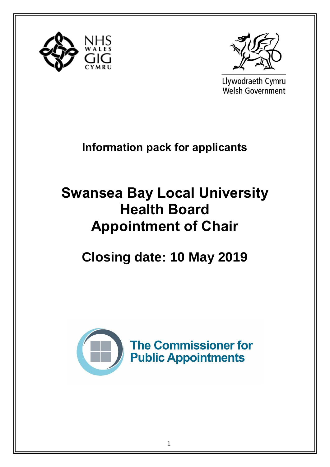



Llywodraeth Cymru Welsh Government

**Information pack for applicants**

# **Swansea Bay Local University Health Board Appointment of Chair**

**Closing date: 10 May 2019** 

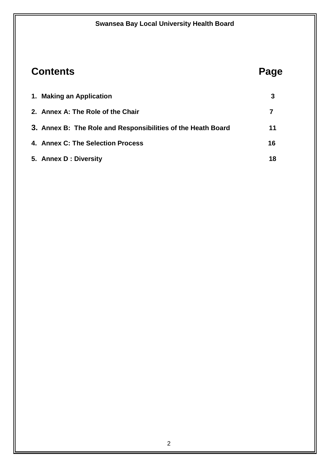## **Contents Page**

| 1. Making an Application                                     |    |
|--------------------------------------------------------------|----|
| 2. Annex A: The Role of the Chair                            |    |
| 3. Annex B: The Role and Responsibilities of the Heath Board | 11 |
| 4. Annex C: The Selection Process                            | 16 |
| 5. Annex D : Diversity                                       | 18 |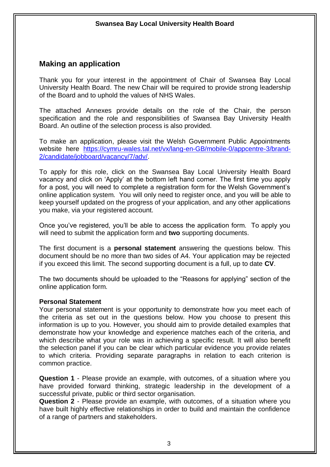#### **Making an application**

Thank you for your interest in the appointment of Chair of Swansea Bay Local University Health Board. The new Chair will be required to provide strong leadership of the Board and to uphold the values of NHS Wales.

The attached Annexes provide details on the role of the Chair, the person specification and the role and responsibilities of Swansea Bay University Health Board. An outline of the selection process is also provided.

To make an application, please visit the Welsh Government Public Appointments website here [https://cymru-wales.tal.net/vx/lang-en-GB/mobile-0/appcentre-3/brand-](https://cymru-wales.tal.net/vx/lang-en-GB/mobile-0/appcentre-3/brand-2/candidate/jobboard/vacancy/7/adv/)[2/candidate/jobboard/vacancy/7/adv/.](https://cymru-wales.tal.net/vx/lang-en-GB/mobile-0/appcentre-3/brand-2/candidate/jobboard/vacancy/7/adv/)

To apply for this role, click on the Swansea Bay Local University Health Board vacancy and click on 'Apply' at the bottom left hand corner. The first time you apply for a post, you will need to complete a registration form for the Welsh Government's online application system. You will only need to register once, and you will be able to keep yourself updated on the progress of your application, and any other applications you make, via your registered account.

Once you've registered, you'll be able to access the application form. To apply you will need to submit the application form and **two** supporting documents.

The first document is a **personal statement** answering the questions below. This document should be no more than two sides of A4. Your application may be rejected if you exceed this limit. The second supporting document is a full, up to date **CV**.

The two documents should be uploaded to the "Reasons for applying" section of the online application form.

#### **Personal Statement**

Your personal statement is your opportunity to demonstrate how you meet each of the criteria as set out in the questions below. How you choose to present this information is up to you. However, you should aim to provide detailed examples that demonstrate how your knowledge and experience matches each of the criteria, and which describe what your role was in achieving a specific result. It will also benefit the selection panel if you can be clear which particular evidence you provide relates to which criteria. Providing separate paragraphs in relation to each criterion is common practice.

**Question 1** - Please provide an example, with outcomes, of a situation where you have provided forward thinking, strategic leadership in the development of a successful private, public or third sector organisation.

**Question 2** - Please provide an example, with outcomes, of a situation where you have built highly effective relationships in order to build and maintain the confidence of a range of partners and stakeholders.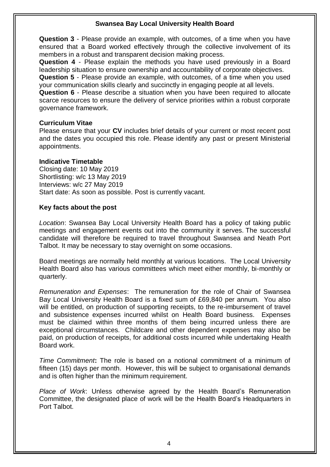**Question 3** - Please provide an example, with outcomes, of a time when you have ensured that a Board worked effectively through the collective involvement of its members in a robust and transparent decision making process.

**Question 4** - Please explain the methods you have used previously in a Board leadership situation to ensure ownership and accountability of corporate objectives.

**Question 5** - Please provide an example, with outcomes, of a time when you used your communication skills clearly and succinctly in engaging people at all levels.

**Question 6** - Please describe a situation when you have been required to allocate scarce resources to ensure the delivery of service priorities within a robust corporate governance framework.

#### **Curriculum Vitae**

Please ensure that your **CV** includes brief details of your current or most recent post and the dates you occupied this role. Please identify any past or present Ministerial appointments.

#### **Indicative Timetable**

Closing date: 10 May 2019 Shortlisting: w/c 13 May 2019 Interviews: w/c 27 May 2019 Start date: As soon as possible. Post is currently vacant.

#### **Key facts about the post**

*Location*: Swansea Bay Local University Health Board has a policy of taking public meetings and engagement events out into the community it serves. The successful candidate will therefore be required to travel throughout Swansea and Neath Port Talbot. It may be necessary to stay overnight on some occasions.

Board meetings are normally held monthly at various locations. The Local University Health Board also has various committees which meet either monthly, bi-monthly or quarterly.

*Remuneration and Expenses*: The remuneration for the role of Chair of Swansea Bay Local University Health Board is a fixed sum of £69,840 per annum. You also will be entitled, on production of supporting receipts, to the re-imbursement of travel and subsistence expenses incurred whilst on Health Board business. Expenses must be claimed within three months of them being incurred unless there are exceptional circumstances. Childcare and other dependent expenses may also be paid, on production of receipts, for additional costs incurred while undertaking Health Board work.

*Time Commitment***:** The role is based on a notional commitment of a minimum of fifteen (15) days per month. However, this will be subject to organisational demands and is often higher than the minimum requirement.

*Place of Work*: Unless otherwise agreed by the Health Board's Remuneration Committee, the designated place of work will be the Health Board's Headquarters in Port Talbot.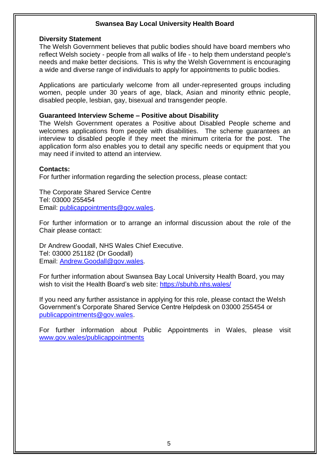#### **Diversity Statement**

The Welsh Government believes that public bodies should have board members who reflect Welsh society - people from all walks of life - to help them understand people's needs and make better decisions. This is why the Welsh Government is encouraging a wide and diverse range of individuals to apply for appointments to public bodies.

Applications are particularly welcome from all under-represented groups including women, people under 30 years of age, black, Asian and minority ethnic people, disabled people, lesbian, gay, bisexual and transgender people.

#### **Guaranteed Interview Scheme – Positive about Disability**

The Welsh Government operates a Positive about Disabled People scheme and welcomes applications from people with disabilities. The scheme guarantees an interview to disabled people if they meet the minimum criteria for the post. The application form also enables you to detail any specific needs or equipment that you may need if invited to attend an interview.

#### **Contacts:**

For further information regarding the selection process, please contact:

The Corporate Shared Service Centre Tel: 03000 255454 Email: [publicappointments@gov.wales.](mailto:publicappointments@gov.wales)

For further information or to arrange an informal discussion about the role of the Chair please contact:

Dr Andrew Goodall, NHS Wales Chief Executive. Tel: 03000 251182 (Dr Goodall) Email: [Andrew.Goodall@gov.wales.](mailto:Andrew.Goodall@gov.wales)

For further information about Swansea Bay Local University Health Board, you may wish to visit the Health Board's web site:<https://sbuhb.nhs.wales/>

If you need any further assistance in applying for this role, please contact the Welsh Government's Corporate Shared Service Centre Helpdesk on 03000 255454 or [publicappointments@gov.wales.](mailto:publicappointments@gov.wales)

For further information about Public Appointments in Wales, please visit [www.gov.wales/publicappointments](http://www.gov.wales/publicappointments)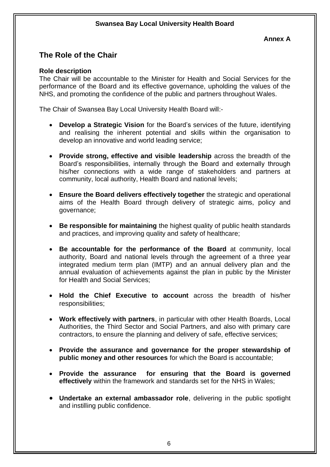### **The Role of the Chair**

#### **Role description**

The Chair will be accountable to the Minister for Health and Social Services for the performance of the Board and its effective governance, upholding the values of the NHS, and promoting the confidence of the public and partners throughout Wales.

The Chair of Swansea Bay Local University Health Board will:-

- **Develop a Strategic Vision** for the Board's services of the future, identifying and realising the inherent potential and skills within the organisation to develop an innovative and world leading service;
- **Provide strong, effective and visible leadership** across the breadth of the Board's responsibilities, internally through the Board and externally through his/her connections with a wide range of stakeholders and partners at community, local authority, Health Board and national levels;
- **Ensure the Board delivers effectively together** the strategic and operational aims of the Health Board through delivery of strategic aims, policy and governance;
- **Be responsible for maintaining** the highest quality of public health standards and practices, and improving quality and safety of healthcare;
- **Be accountable for the performance of the Board** at community, local authority, Board and national levels through the agreement of a three year integrated medium term plan (IMTP) and an annual delivery plan and the annual evaluation of achievements against the plan in public by the Minister for Health and Social Services;
- **Hold the Chief Executive to account** across the breadth of his/her responsibilities;
- **Work effectively with partners**, in particular with other Health Boards, Local Authorities, the Third Sector and Social Partners, and also with primary care contractors, to ensure the planning and delivery of safe, effective services;
- **Provide the assurance and governance for the proper stewardship of public money and other resources** for which the Board is accountable;
- **Provide the assurance for ensuring that the Board is governed effectively** within the framework and standards set for the NHS in Wales;
- **Undertake an external ambassador role**, delivering in the public spotlight and instilling public confidence.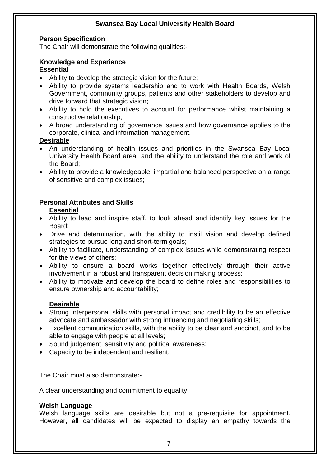#### **Person Specification**

The Chair will demonstrate the following qualities:-

#### **Knowledge and Experience Essential**

- Ability to develop the strategic vision for the future;
- Ability to provide systems leadership and to work with Health Boards, Welsh Government, community groups, patients and other stakeholders to develop and drive forward that strategic vision;
- Ability to hold the executives to account for performance whilst maintaining a constructive relationship;
- A broad understanding of governance issues and how governance applies to the corporate, clinical and information management.

#### **Desirable**

- An understanding of health issues and priorities in the Swansea Bay Local University Health Board area and the ability to understand the role and work of the Board;
- Ability to provide a knowledgeable, impartial and balanced perspective on a range of sensitive and complex issues;

#### **Personal Attributes and Skills**

#### **Essential**

- Ability to lead and inspire staff, to look ahead and identify key issues for the Board;
- Drive and determination, with the ability to instil vision and develop defined strategies to pursue long and short-term goals;
- Ability to facilitate, understanding of complex issues while demonstrating respect for the views of others;
- Ability to ensure a board works together effectively through their active involvement in a robust and transparent decision making process;
- Ability to motivate and develop the board to define roles and responsibilities to ensure ownership and accountability;

#### **Desirable**

- Strong interpersonal skills with personal impact and credibility to be an effective advocate and ambassador with strong influencing and negotiating skills;
- Excellent communication skills, with the ability to be clear and succinct, and to be able to engage with people at all levels;
- Sound judgement, sensitivity and political awareness;
- Capacity to be independent and resilient.

The Chair must also demonstrate:-

A clear understanding and commitment to equality.

#### **Welsh Language**

Welsh language skills are desirable but not a pre-requisite for appointment. However, all candidates will be expected to display an empathy towards the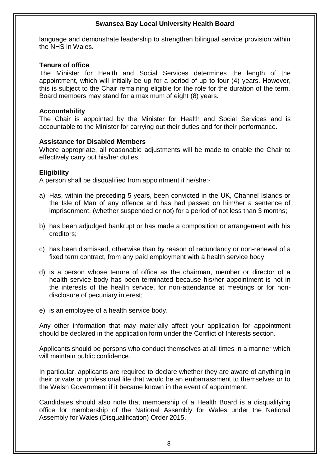language and demonstrate leadership to strengthen bilingual service provision within the NHS in Wales.

#### **Tenure of office**

The Minister for Health and Social Services determines the length of the appointment, which will initially be up for a period of up to four (4) years. However, this is subject to the Chair remaining eligible for the role for the duration of the term. Board members may stand for a maximum of eight (8) years.

#### **Accountability**

The Chair is appointed by the Minister for Health and Social Services and is accountable to the Minister for carrying out their duties and for their performance.

#### **Assistance for Disabled Members**

Where appropriate, all reasonable adjustments will be made to enable the Chair to effectively carry out his/her duties.

#### **Eligibility**

A person shall be disqualified from appointment if he/she:-

- a) Has, within the preceding 5 years, been convicted in the UK, Channel Islands or the Isle of Man of any offence and has had passed on him/her a sentence of imprisonment, (whether suspended or not) for a period of not less than 3 months;
- b) has been adjudged bankrupt or has made a composition or arrangement with his creditors;
- c) has been dismissed, otherwise than by reason of redundancy or non-renewal of a fixed term contract, from any paid employment with a health service body;
- d) is a person whose tenure of office as the chairman, member or director of a health service body has been terminated because his/her appointment is not in the interests of the health service, for non-attendance at meetings or for nondisclosure of pecuniary interest;
- e) is an employee of a health service body.

Any other information that may materially affect your application for appointment should be declared in the application form under the Conflict of Interests section.

Applicants should be persons who conduct themselves at all times in a manner which will maintain public confidence.

In particular, applicants are required to declare whether they are aware of anything in their private or professional life that would be an embarrassment to themselves or to the Welsh Government if it became known in the event of appointment.

Candidates should also note that membership of a Health Board is a disqualifying office for membership of the National Assembly for Wales under the National Assembly for Wales (Disqualification) Order 2015.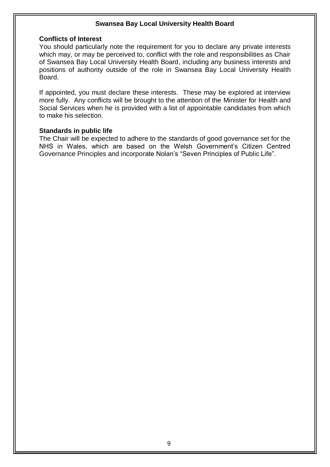#### **Conflicts of Interest**

You should particularly note the requirement for you to declare any private interests which may, or may be perceived to, conflict with the role and responsibilities as Chair of Swansea Bay Local University Health Board, including any business interests and positions of authority outside of the role in Swansea Bay Local University Health Board.

If appointed, you must declare these interests. These may be explored at interview more fully. Any conflicts will be brought to the attention of the Minister for Health and Social Services when he is provided with a list of appointable candidates from which to make his selection.

#### **Standards in public life**

The Chair will be expected to adhere to the standards of good governance set for the NHS in Wales, which are based on the Welsh Government's Citizen Centred Governance Principles and incorporate Nolan's "Seven Principles of Public Life".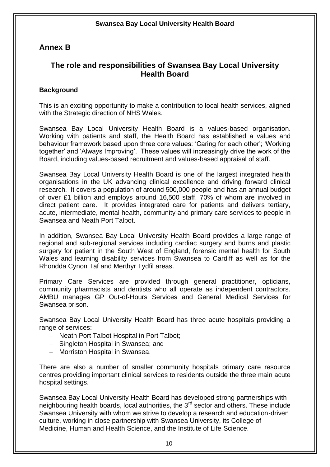#### **Annex B**

#### **The role and responsibilities of Swansea Bay Local University Health Board**

#### **Background**

This is an exciting opportunity to make a contribution to local health services, aligned with the Strategic direction of NHS Wales.

Swansea Bay Local University Health Board is a values-based organisation. Working with patients and staff, the Health Board has established a values and behaviour framework based upon three core values: 'Caring for each other'; 'Working together' and 'Always Improving'. These values will increasingly drive the work of the Board, including values-based recruitment and values-based appraisal of staff.

Swansea Bay Local University Health Board is one of the largest integrated health organisations in the UK advancing clinical excellence and driving forward clinical research. It covers a population of around 500,000 people and has an annual budget of over £1 billion and employs around 16,500 staff, 70% of whom are involved in direct patient care. It provides integrated care for patients and delivers tertiary, acute, intermediate, mental health, community and primary care services to people in Swansea and Neath Port Talbot.

In addition, Swansea Bay Local University Health Board provides a large range of regional and sub-regional services including cardiac surgery and burns and plastic surgery for patient in the South West of England, forensic mental health for South Wales and learning disability services from Swansea to Cardiff as well as for the Rhondda Cynon Taf and Merthyr Tydfil areas.

Primary Care Services are provided through general practitioner, opticians, community pharmacists and dentists who all operate as independent contractors. AMBU manages GP Out-of-Hours Services and General Medical Services for Swansea prison.

Swansea Bay Local University Health Board has three acute hospitals providing a range of services:

- Neath Port Talbot Hospital in Port Talbot;
- Singleton Hospital in Swansea; and
- Morriston Hospital in Swansea.

There are also a number of smaller community hospitals primary care resource centres providing important clinical services to residents outside the three main acute hospital settings.

Swansea Bay Local University Health Board has developed strong partnerships with neighbouring health boards, local authorities, the 3<sup>rd</sup> sector and others. These include Swansea University with whom we strive to develop a research and education-driven culture, working in close partnership with Swansea University, its College of Medicine, Human and Health Science, and the Institute of Life Science.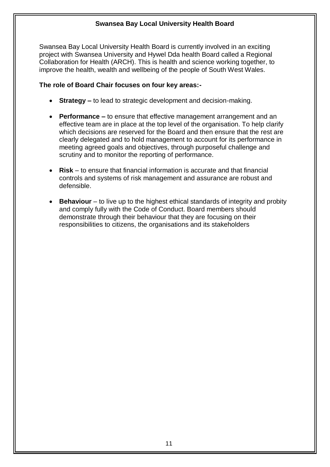Swansea Bay Local University Health Board is currently involved in an exciting project with Swansea University and Hywel Dda health Board called a Regional Collaboration for Health (ARCH). This is health and science working together, to improve the health, wealth and wellbeing of the people of South West Wales.

#### **The role of Board Chair focuses on four key areas:-**

- **Strategy –** to lead to strategic development and decision-making.
- **Performance –** to ensure that effective management arrangement and an effective team are in place at the top level of the organisation. To help clarify which decisions are reserved for the Board and then ensure that the rest are clearly delegated and to hold management to account for its performance in meeting agreed goals and objectives, through purposeful challenge and scrutiny and to monitor the reporting of performance.
- **Risk** to ensure that financial information is accurate and that financial controls and systems of risk management and assurance are robust and defensible.
- **Behaviour** to live up to the highest ethical standards of integrity and probity and comply fully with the Code of Conduct. Board members should demonstrate through their behaviour that they are focusing on their responsibilities to citizens, the organisations and its stakeholders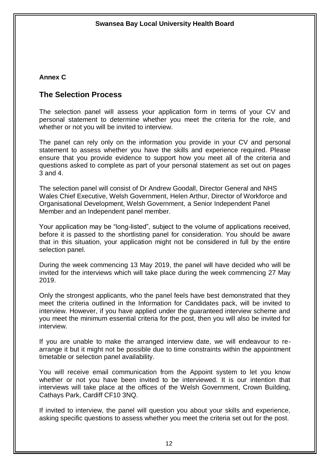#### **Annex C**

#### **The Selection Process**

The selection panel will assess your application form in terms of your CV and personal statement to determine whether you meet the criteria for the role, and whether or not you will be invited to interview.

The panel can rely only on the information you provide in your CV and personal statement to assess whether you have the skills and experience required. Please ensure that you provide evidence to support how you meet all of the criteria and questions asked to complete as part of your personal statement as set out on pages 3 and 4.

The selection panel will consist of Dr Andrew Goodall, Director General and NHS Wales Chief Executive, Welsh Government, Helen Arthur, Director of Workforce and Organisational Development, Welsh Government, a Senior Independent Panel Member and an Independent panel member.

Your application may be "long-listed", subject to the volume of applications received, before it is passed to the shortlisting panel for consideration. You should be aware that in this situation, your application might not be considered in full by the entire selection panel.

During the week commencing 13 May 2019, the panel will have decided who will be invited for the interviews which will take place during the week commencing 27 May 2019.

Only the strongest applicants, who the panel feels have best demonstrated that they meet the criteria outlined in the Information for Candidates pack, will be invited to interview. However, if you have applied under the guaranteed interview scheme and you meet the minimum essential criteria for the post, then you will also be invited for interview.

If you are unable to make the arranged interview date, we will endeavour to rearrange it but it might not be possible due to time constraints within the appointment timetable or selection panel availability.

You will receive email communication from the Appoint system to let you know whether or not you have been invited to be interviewed. It is our intention that interviews will take place at the offices of the Welsh Government, Crown Building, Cathays Park, Cardiff CF10 3NQ.

If invited to interview, the panel will question you about your skills and experience, asking specific questions to assess whether you meet the criteria set out for the post.